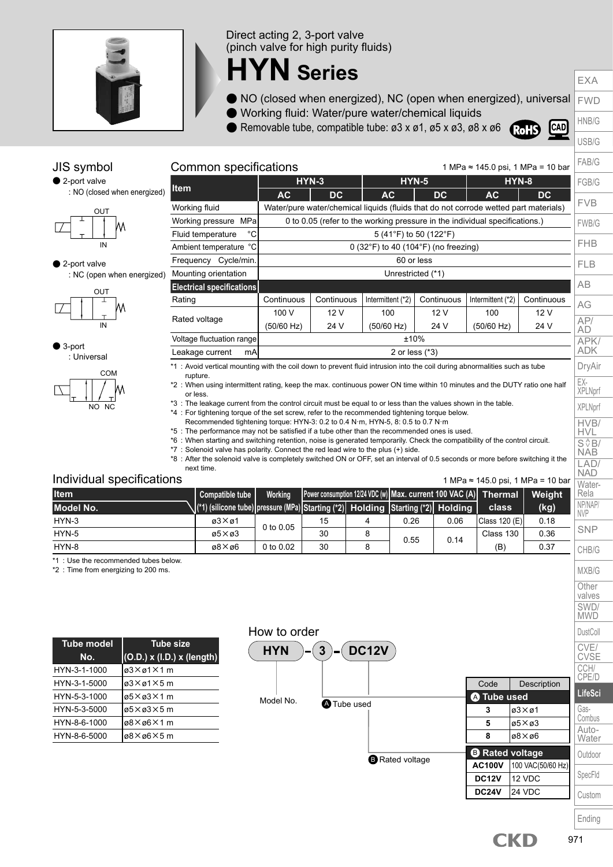

### Direct acting 2, 3-port valve (pinch valve for high purity fluids)

# **HYN Series**

- FWD ● NO (closed when energized), NC (open when energized), universal
- Working fluid: Water/pure water/chemical liquids
- Removable tube, compatible tube: ø3 x ø1, ø5 x ø3, ø8 x ø6



EXA

HNB/G USB/G

FAB/G FGB/G FVB

AG AP/ AD APK/ ADK DryAir EX-XPLNprf XPLNprf HVB/ HVL  $S \sqrt{\frac{A}{B}}$ NAB LAD/ NAD

# 1 MPa ≈ 145.0 psi, 1 MPa = 10 bar





JIS symbol

● 2-port valve : NC (open when energized)

$$
\begin{array}{c|c}\n & \text{out} \\
\hline\n & \uparrow \\
\hline\n & \uparrow \\
\hline\n & \uparrow\n\end{array}
$$

● 3-port : Universal



|                                   |                                                                                                                           | $HYN-3$                                                                                     | <b>HYN-5</b>           |                 | <b>HYN-8</b> | FGB/G |            |  |  |  |  |  |  |  |
|-----------------------------------|---------------------------------------------------------------------------------------------------------------------------|---------------------------------------------------------------------------------------------|------------------------|-----------------|--------------|-------|------------|--|--|--|--|--|--|--|
| <b>Item</b>                       | AC                                                                                                                        | DC.                                                                                         | <b>AC</b>              | $\overline{D}C$ | АC           | DC.   | <b>FVB</b> |  |  |  |  |  |  |  |
| Working fluid                     |                                                                                                                           | Water/pure water/chemical liquids (fluids that do not corrode wetted part materials)        |                        |                 |              |       |            |  |  |  |  |  |  |  |
| Working pressure MPa              |                                                                                                                           | 0 to 0.05 (refer to the working pressure in the individual specifications.)<br><b>FWB/G</b> |                        |                 |              |       |            |  |  |  |  |  |  |  |
| $^{\circ}$ C<br>Fluid temperature |                                                                                                                           |                                                                                             | 5 (41°F) to 50 (122°F) |                 |              |       |            |  |  |  |  |  |  |  |
| Ambient temperature °C            |                                                                                                                           | <b>FHB</b><br>0 (32 $\degree$ F) to 40 (104 $\degree$ F) (no freezing)                      |                        |                 |              |       |            |  |  |  |  |  |  |  |
| Cycle/min.<br>Frequency           |                                                                                                                           | 60 or less                                                                                  |                        |                 |              |       |            |  |  |  |  |  |  |  |
| Mounting orientation              |                                                                                                                           | <b>FLB</b><br>Unrestricted (*1)                                                             |                        |                 |              |       |            |  |  |  |  |  |  |  |
| <b>Electrical specifications</b>  |                                                                                                                           |                                                                                             |                        |                 |              |       |            |  |  |  |  |  |  |  |
| Rating                            | Continuous                                                                                                                | Continuous<br>Continuous<br>Intermittent (*2)<br>Intermittent (*2)                          |                        |                 |              |       | AG         |  |  |  |  |  |  |  |
|                                   | 100 V                                                                                                                     | 12 V                                                                                        | 100                    | 12V             | 100          | 12 V  |            |  |  |  |  |  |  |  |
| Rated voltage                     | (50/60 Hz)                                                                                                                | 24 V                                                                                        | (50/60 Hz)             | 24 V            | (50/60 Hz)   | 24 V  | AP/<br>AD  |  |  |  |  |  |  |  |
| Voltage fluctuation range         | ±10%                                                                                                                      |                                                                                             |                        |                 |              |       |            |  |  |  |  |  |  |  |
| Leakage current<br>mAI            | <b>ADK</b><br>2 or less $(*3)$                                                                                            |                                                                                             |                        |                 |              |       |            |  |  |  |  |  |  |  |
|                                   | *1: Avoid vertical mounting with the coil down to prevent fluid intrusion into the coil during abnormalities such as tube |                                                                                             |                        |                 |              |       |            |  |  |  |  |  |  |  |

rupture.

\*2 : When using intermittent rating, keep the max. continuous power ON time within 10 minutes and the DUTY ratio one half or less.

\*3 : The leakage current from the control circuit must be equal to or less than the values shown in the table.

\*4 : For tightening torque of the set screw, refer to the recommended tightening torque below.

Recommended tightening torque: HYN-3: 0.2 to 0.4 N·m, HYN-5, 8: 0.5 to 0.7 N·m

\*5 : The performance may not be satisfied if a tube other than the recommended ones is used.

\*6 : When starting and switching retention, noise is generated temporarily. Check the compatibility of the control circuit.

\*7 : Solenoid valve has polarity. Connect the red lead wire to the plus (+) side.

Common specifications

\*8 : After the solenoid valve is completely switched ON or OFF, set an interval of 0.5 seconds or more before switching it the next time.

### Individual specifications

1 MPa ≈ 145.0 psi, 1 MPa = 10 bar

| Individual specifications<br>I MPa ≈ 145.0 psi, 1 MPa = 10 bar<br>Nater- |                                                                                    |           |    |  |      |      |                                                                  |        |                       |  |
|--------------------------------------------------------------------------|------------------------------------------------------------------------------------|-----------|----|--|------|------|------------------------------------------------------------------|--------|-----------------------|--|
| <b>Item</b>                                                              | Compatible tube I                                                                  | Working   |    |  |      |      | Power consumption 12/24 VDC (w) Max. current 100 VAC (A) Thermal | Weiaht | Rela                  |  |
| Model No.                                                                | \(*1) (silicone tube) pressure (MPa) Starting (*2) Holding Starting (*2) Holding \ |           |    |  |      |      | <b>class</b>                                                     | (kg)   | NP/NAP/<br><b>NVP</b> |  |
| HYN-3                                                                    | $a3\times a1$                                                                      | 0 to 0.05 | 15 |  | 0.26 | 0.06 | Class 120 (E)                                                    | 0.18   |                       |  |
| HYN-5                                                                    | $\alpha$ 5 $\times$ $\alpha$ 3                                                     |           | 30 |  | 0.55 | 0.14 | Class 130                                                        | 0.36   | <b>SNP</b>            |  |
| HYN-8                                                                    | $\alpha$ 8 $\times$ $\alpha$ 6                                                     | 0 to 0.02 | 30 |  |      |      | (B)                                                              | 0.37   | CHB/G                 |  |

\*1 : Use the recommended tubes below.

\*2 : Time from energizing to 200 ms.

| <b>Tube model</b> | <b>Tube size</b>                           |
|-------------------|--------------------------------------------|
| No.               | $\vert$ (O.D.) x (I.D.) x (length) $\vert$ |
| HYN-3-1-1000      | ø3×ø1×1 m                                  |
| HYN-3-1-5000      | ø3×ø1×5 m                                  |
| HYN-5-3-1000      | ø5×ø3×1 m                                  |
| HYN-5-3-5000      | ø5×ø3×5 m                                  |
| HYN-8-6-1000      | ø8×ø6×1 m                                  |
| HYN-8-6-5000      | ø8×ø6×5 m                                  |





Ending

Custom

MXB/G **Other** valves SWD/ **MWD DustColl** CVE/ CVSE CCH/ CPE/D **LifeSci** Gas-Combus Auto-**Water Outdoor** SpecFld

CKD